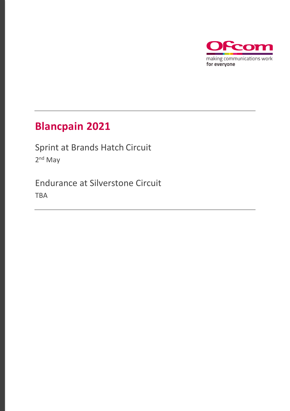

### **Blancpain 2021**

Sprint at Brands Hatch Circuit 2<sup>nd</sup> May

Endurance at Silverstone Circuit TBA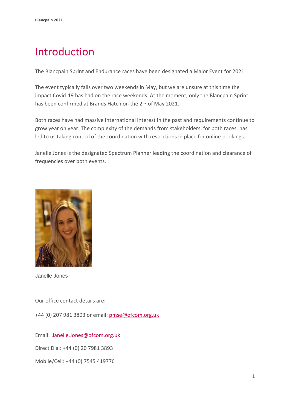## Introduction

The Blancpain Sprint and Endurance races have been designated a Major Event for 2021.

The event typically falls over two weekends in May, but we are unsure at this time the impact Covid-19 has had on the race weekends. At the moment, only the Blancpain Sprint has been confirmed at Brands Hatch on the 2<sup>nd</sup> of May 2021.

Both races have had massive International interest in the past and requirements continue to grow year on year. The complexity of the demands from stakeholders, for both races, has led to us taking control of the coordination with restrictions in place for online bookings.

Janelle Jones is the designated Spectrum Planner leading the coordination and clearance of frequencies over both events.



Janelle Jones

Our office contact details are:

+44 (0) 207 981 3803 or email: [pmse@ofcom.org.uk](mailto:pmse@ofcom.org.uk) 

Email: [Janelle.Jones@ofcom.org.uk](mailto:Janelle.Jones@ofcom.org.uk)

Direct Dial: +44 (0) 20 7981 3893

Mobile/Cell: +44 (0) 7545 419776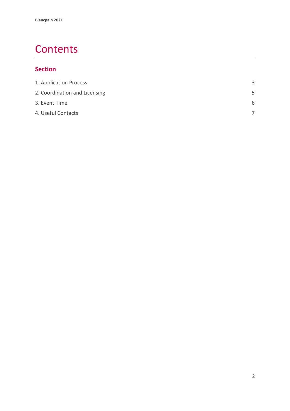### **Contents**

### **Section**

| 3 |
|---|
| 5 |
| 6 |
|   |
|   |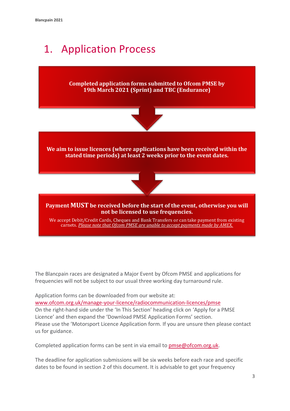# 1. Application Process

**Completed application forms submitted to Ofcom PMSE by 19th March 2021 (Sprint) and TBC (Endurance)** 



**We aim to issue licences (where applications have been received within the stated time periods) at least 2 weeks prior to the event dates.**



**Payment MUST be received before the start of the event, otherwise you will not be licensed to use frequencies.**

We accept Debit/Credit Cards, Cheques and Bank Transfers or can take payment from existing carnets. *Please note that Ofcom PMSE are unable to accept payments made by AMEX.*

The Blancpain races are designated a Major Event by Ofcom PMSE and applications for frequencies will not be subject to our usual three working day turnaround rule.

Application forms can be downloaded from our website at: [www.ofcom.org.uk/manage-your-licence/radiocommunication-licences/pmse](http://www.ofcom.org.uk/manage-your-licence/radiocommunication-licences/pmse) On the right-hand side under the 'In This Section' heading click on 'Apply for a PMSE Licence' and then expand the 'Download PMSE Application Forms' section. Please use the 'Motorsport Licence Application form. If you are unsure then please contact us for guidance.

Completed application forms can be sent in via email to [pmse@ofcom.org.uk.](mailto:pmse@ofcom.org.uk)

The deadline for application submissions will be six weeks before each race and specific dates to be found in section 2 of this document. It is advisable to get your frequency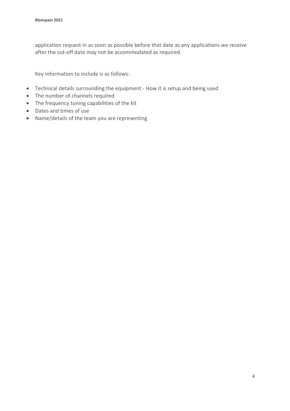application request in as soon as possible before that date as any applications we receive after the cut-off date may not be accommodated as required.

Key information to include is as follows:

- Technical details surrounding the equipment How it is setup and being used
- The number of channels required
- The frequency tuning capabilities of the kit
- Dates and times of use
- Name/details of the team you are representing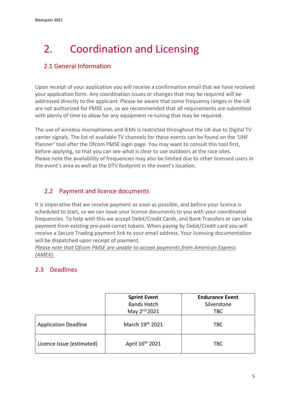# <span id="page-5-0"></span>2. Coordination and Licensing

#### 2.1 General Information

Upon receipt of your application you will receive a confirmation email that we have received your application form. Any coordination issues or changes that may be required will be addressed directly to the applicant. Please be aware that some frequency ranges in the UK are not authorized for PMSE use, so we recommended that all requirements are submitted with plenty of time to allow for any equipment re-tuning that may be required.

The use of wireless microphones and IEMs is restricted throughout the UK due to Digital TV carrier signals. The list of available TV channels for these events can be found on the 'UHF Planner' tool after the Ofcom PMSE login page. You may want to consult this tool first, before applying, so that you can see what is clear to use outdoors at the race sites. Please note the availability of frequencies may also be limited due to other licensed users in the event's area as well as the DTV footprint in the event's location.

#### 2.2 Payment and licence documents

It is imperative that we receive payment as soon as possible, and before your licence is scheduled to start, so we can issue your licence documents to you with your coordinated frequencies. To help with this we accept Debit/Credit Cards, and Bank Transfers or can take payment from existing pre-paid carnet tokens. When paying by Debit/Credit card you will receive a Secure Trading payment link to your email address. Your licensing documentation will be dispatched upon receipt of payment.

*Please note that Ofcom PMSE are unable to accept payments from American Express (AMEX).*

#### 2.3 Deadlines

|                             | <b>Sprint Event</b><br><b>Bands Hatch</b> | <b>Endurance Event</b><br>Silverstone |
|-----------------------------|-------------------------------------------|---------------------------------------|
|                             | May 2 <sup>nd</sup> 2021                  | <b>TBC</b>                            |
| <b>Application Deadline</b> | March 19th 2021                           | <b>TBC</b>                            |
| Licence Issue (estimated)   | April 16 <sup>th</sup> 2021               | <b>TBC</b>                            |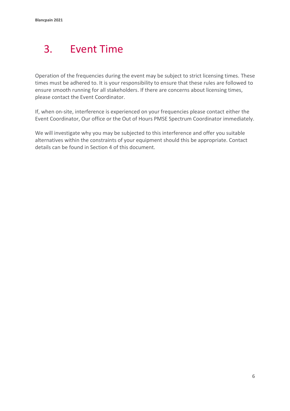# <span id="page-6-0"></span>3. Event Time

Operation of the frequencies during the event may be subject to strict licensing times. These times must be adhered to. It is your responsibility to ensure that these rules are followed to ensure smooth running for all stakeholders. If there are concerns about licensing times, please contact the Event Coordinator.

If, when on-site, interference is experienced on your frequencies please contact either the Event Coordinator, Our office or the Out of Hours PMSE Spectrum Coordinator immediately.

We will investigate why you may be subjected to this interference and offer you suitable alternatives within the constraints of your equipment should this be appropriate. Contact details can be found in Section 4 of this document.